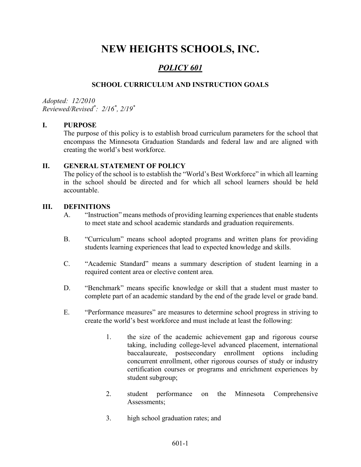# NEW HEIGHTS SCHOOLS, INC.

# POLICY 601

## SCHOOL CURRICULUM AND INSTRUCTION GOALS

Adopted: 12/2010 Reviewed/Revised\* : 2/16\* , 2/19\*

#### I. PURPOSE

The purpose of this policy is to establish broad curriculum parameters for the school that encompass the Minnesota Graduation Standards and federal law and are aligned with creating the world's best workforce.

#### II. GENERAL STATEMENT OF POLICY

The policy of the school is to establish the "World's Best Workforce" in which all learning in the school should be directed and for which all school learners should be held accountable.

#### III. DEFINITIONS

- A. "Instruction" means methods of providing learning experiences that enable students to meet state and school academic standards and graduation requirements.
- B. "Curriculum" means school adopted programs and written plans for providing students learning experiences that lead to expected knowledge and skills.
- C. "Academic Standard" means a summary description of student learning in a required content area or elective content area.
- D. "Benchmark" means specific knowledge or skill that a student must master to complete part of an academic standard by the end of the grade level or grade band.
- E. "Performance measures" are measures to determine school progress in striving to create the world's best workforce and must include at least the following:
	- 1. the size of the academic achievement gap and rigorous course taking, including college-level advanced placement, international baccalaureate, postsecondary enrollment options including concurrent enrollment, other rigorous courses of study or industry certification courses or programs and enrichment experiences by student subgroup;
	- 2. student performance on the Minnesota Comprehensive Assessments;
	- 3. high school graduation rates; and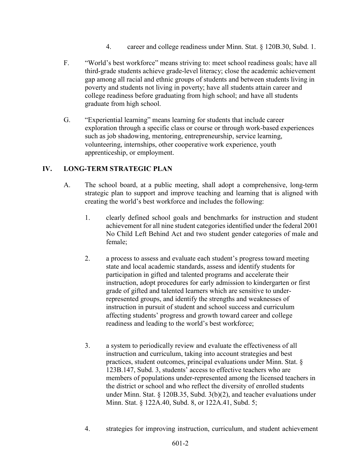- 4. career and college readiness under Minn. Stat. § 120B.30, Subd. 1.
- F. "World's best workforce" means striving to: meet school readiness goals; have all third-grade students achieve grade-level literacy; close the academic achievement gap among all racial and ethnic groups of students and between students living in poverty and students not living in poverty; have all students attain career and college readiness before graduating from high school; and have all students graduate from high school.
- G. "Experiential learning" means learning for students that include career exploration through a specific class or course or through work-based experiences such as job shadowing, mentoring, entrepreneurship, service learning, volunteering, internships, other cooperative work experience, youth apprenticeship, or employment.

## IV. LONG-TERM STRATEGIC PLAN

- A. The school board, at a public meeting, shall adopt a comprehensive, long-term strategic plan to support and improve teaching and learning that is aligned with creating the world's best workforce and includes the following:
	- 1. clearly defined school goals and benchmarks for instruction and student achievement for all nine student categories identified under the federal 2001 No Child Left Behind Act and two student gender categories of male and female;
	- 2. a process to assess and evaluate each student's progress toward meeting state and local academic standards, assess and identify students for participation in gifted and talented programs and accelerate their instruction, adopt procedures for early admission to kindergarten or first grade of gifted and talented learners which are sensitive to underrepresented groups, and identify the strengths and weaknesses of instruction in pursuit of student and school success and curriculum affecting students' progress and growth toward career and college readiness and leading to the world's best workforce;
	- 3. a system to periodically review and evaluate the effectiveness of all instruction and curriculum, taking into account strategies and best practices, student outcomes, principal evaluations under Minn. Stat. § 123B.147, Subd. 3, students' access to effective teachers who are members of populations under-represented among the licensed teachers in the district or school and who reflect the diversity of enrolled students under Minn. Stat. § 120B.35, Subd. 3(b)(2), and teacher evaluations under Minn. Stat. § 122A.40, Subd. 8, or 122A.41, Subd. 5;
	- 4. strategies for improving instruction, curriculum, and student achievement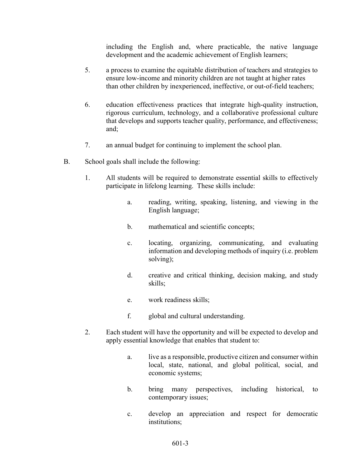including the English and, where practicable, the native language development and the academic achievement of English learners;

- 5. a process to examine the equitable distribution of teachers and strategies to ensure low-income and minority children are not taught at higher rates than other children by inexperienced, ineffective, or out-of-field teachers;
- 6. education effectiveness practices that integrate high-quality instruction, rigorous curriculum, technology, and a collaborative professional culture that develops and supports teacher quality, performance, and effectiveness; and;
- 7. an annual budget for continuing to implement the school plan.
- B. School goals shall include the following:
	- 1. All students will be required to demonstrate essential skills to effectively participate in lifelong learning. These skills include:
		- a. reading, writing, speaking, listening, and viewing in the English language;
		- b. mathematical and scientific concepts;
		- c. locating, organizing, communicating, and evaluating information and developing methods of inquiry (i.e. problem solving);
		- d. creative and critical thinking, decision making, and study skills;
		- e. work readiness skills;
		- f. global and cultural understanding.
	- 2. Each student will have the opportunity and will be expected to develop and apply essential knowledge that enables that student to:
		- a. live as a responsible, productive citizen and consumer within local, state, national, and global political, social, and economic systems;
		- b. bring many perspectives, including historical, to contemporary issues;
		- c. develop an appreciation and respect for democratic institutions;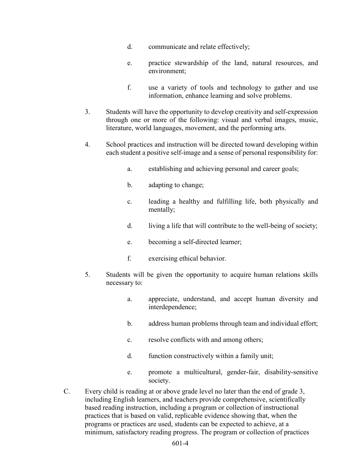- d. communicate and relate effectively;
- e. practice stewardship of the land, natural resources, and environment;
- f. use a variety of tools and technology to gather and use information, enhance learning and solve problems.
- 3. Students will have the opportunity to develop creativity and self-expression through one or more of the following: visual and verbal images, music, literature, world languages, movement, and the performing arts.
- 4. School practices and instruction will be directed toward developing within each student a positive self-image and a sense of personal responsibility for:
	- a. establishing and achieving personal and career goals;
	- b. adapting to change;
	- c. leading a healthy and fulfilling life, both physically and mentally;
	- d. living a life that will contribute to the well-being of society;
	- e. becoming a self-directed learner;
	- f. exercising ethical behavior.
- 5. Students will be given the opportunity to acquire human relations skills necessary to:
	- a. appreciate, understand, and accept human diversity and interdependence;
	- b. address human problems through team and individual effort;
	- c. resolve conflicts with and among others;
	- d. function constructively within a family unit;
	- e. promote a multicultural, gender-fair, disability-sensitive society.
- C. Every child is reading at or above grade level no later than the end of grade 3, including English learners, and teachers provide comprehensive, scientifically based reading instruction, including a program or collection of instructional practices that is based on valid, replicable evidence showing that, when the programs or practices are used, students can be expected to achieve, at a minimum, satisfactory reading progress. The program or collection of practices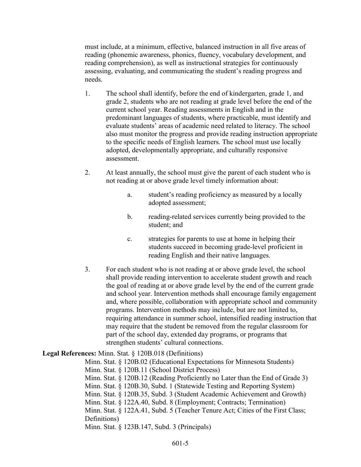must include, at a minimum, effective, balanced instruction in all five areas of reading (phonemic awareness, phonics, fluency, vocabulary development, and reading comprehension), as well as instructional strategies for continuously assessing, evaluating, and communicating the student's reading progress and needs.

- 1. The school shall identify, before the end of kindergarten, grade 1, and grade 2, students who are not reading at grade level before the end of the current school year. Reading assessments in English and in the predominant languages of students, where practicable, must identify and evaluate students' areas of academic need related to literacy. The school also must monitor the progress and provide reading instruction appropriate to the specific needs of English learners. The school must use locally adopted, developmentally appropriate, and culturally responsive assessment.
- 2. At least annually, the school must give the parent of each student who is not reading at or above grade level timely information about:
	- a. student's reading proficiency as measured by a locally adopted assessment;
	- b. reading-related services currently being provided to the student; and
	- c. strategies for parents to use at home in helping their students succeed in becoming grade-level proficient in reading English and their native languages.
- 3. For each student who is not reading at or above grade level, the school shall provide reading intervention to accelerate student growth and reach the goal of reading at or above grade level by the end of the current grade and school year. Intervention methods shall encourage family engagement and, where possible, collaboration with appropriate school and community programs. Intervention methods may include, but are not limited to, requiring attendance in summer school, intensified reading instruction that may require that the student be removed from the regular classroom for part of the school day, extended day programs, or programs that strengthen students' cultural connections.

#### Legal References: Minn. Stat. § 120B.018 (Definitions)

Minn. Stat. § 120B.02 (Educational Expectations for Minnesota Students) Minn. Stat. § 120B.11 (School District Process) Minn. Stat. § 120B.12 (Reading Proficiently no Later than the End of Grade 3) Minn. Stat. § 120B.30, Subd. 1 (Statewide Testing and Reporting System) Minn. Stat. § 120B.35, Subd. 3 (Student Academic Achievement and Growth) Minn. Stat. § 122A.40, Subd. 8 (Employment; Contracts; Termination) Minn. Stat. § 122A.41, Subd. 5 (Teacher Tenure Act; Cities of the First Class; Definitions) Minn. Stat. § 123B.147, Subd. 3 (Principals)